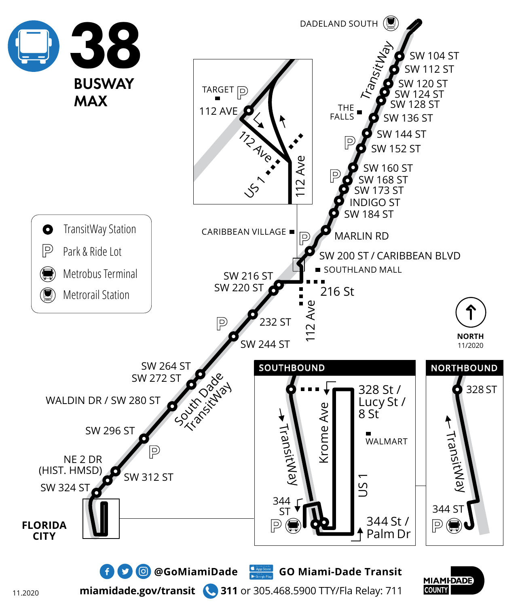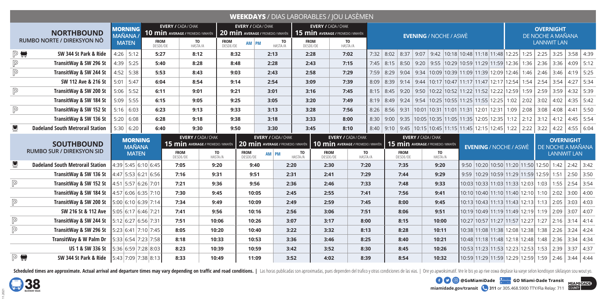|                                                 |                                                                                       |                                 |                                                                  |                                          |                            |                  |                                                                       |                         | <b>WEEKDAYS</b> / DIAS LABORABLES / JOU LASÈMEN                  |                               |                                                                                                              |  |               |                                                                      |                                                                     |  |                                       |  |                    |                                       |             |      |
|-------------------------------------------------|---------------------------------------------------------------------------------------|---------------------------------|------------------------------------------------------------------|------------------------------------------|----------------------------|------------------|-----------------------------------------------------------------------|-------------------------|------------------------------------------------------------------|-------------------------------|--------------------------------------------------------------------------------------------------------------|--|---------------|----------------------------------------------------------------------|---------------------------------------------------------------------|--|---------------------------------------|--|--------------------|---------------------------------------|-------------|------|
| <b>NORTHBOUND</b><br>RUMBO NORTE / DIREKSYON NÒ |                                                                                       | <b>MORNING</b><br><b>MAÑANA</b> | <b>EVERY / CADA / CHAK</b><br>10 min Average / PROMEDIO / MWAYÈN |                                          |                            |                  | <b>EVERY / CADA/CHAK</b><br><b>20 min Average / PROMEDIO / MWAYÈN</b> |                         | <b>EVERY / CADA / CHAK</b><br>15 min Average / PROMEDIO / MWAYÈN | <b>EVENING / NOCHE / ASWÈ</b> |                                                                                                              |  |               |                                                                      |                                                                     |  | <b>OVERNIGHT</b><br>DE NOCHE A MAÑANA |  |                    |                                       |             |      |
|                                                 |                                                                                       | <b>MATEN</b>                    |                                                                  | <b>FROM</b><br>DESDE/DE<br>TO<br>HASTA/A |                            | FROM<br>DESDE/DE | TO<br>AM PM<br>HASTA/A                                                | <b>FROM</b><br>DESDE/DE | TO<br>HASTA/A                                                    |                               |                                                                                                              |  |               |                                                                      |                                                                     |  |                                       |  | <b>LANNWIT LAN</b> |                                       |             |      |
| $P \blacksquare$<br>SW 344 St Park & Ride       |                                                                                       | $4:26$ 5:12                     |                                                                  | 5:27<br>8:12                             |                            | 8:32             | 2:13                                                                  | 2:28                    | 7:02                                                             |                               | 7:32 8:02 8:37 9:07 9:42 10:18 10:48 11:18 11:48 12:25 1:25 2:25 3:25 3:58 4:39                              |  |               |                                                                      |                                                                     |  |                                       |  |                    |                                       |             |      |
| $\mathbb P$                                     | TransitWay & SW 296 St                                                                | 4:39 5:25                       |                                                                  | 5:40<br>8:28                             |                            | 8:48             | 2:28                                                                  | 2:43                    | 7:15                                                             |                               | 7:45   8:15   8:50   9:20   9:55   10:29   10:59   11:29   11:59   12:36   1:36   2:36   3:36   4:09   5:12  |  |               |                                                                      |                                                                     |  |                                       |  |                    |                                       |             |      |
| $\mathbb P$                                     | TransitWay & SW 244 St                                                                | 4:52 5:38                       |                                                                  | 5:53<br>8:43                             |                            | 9:03             | 2:43                                                                  | 2:58                    | 7:29                                                             |                               | 7:59   8:29   9:04   9:34   10:09   10:39   11:09   11:39   12:09   12:46   1:46   2:46   3:46   4:19   5:25 |  |               |                                                                      |                                                                     |  |                                       |  |                    |                                       |             |      |
|                                                 | SW 112 Ave & 216 St                                                                   | $5:01$ 5:47                     |                                                                  | 6:04<br>8:54                             |                            | 9:14             | 2:54                                                                  | 3:09                    | 7:39                                                             | 8:09                          | 8:39   9:14   9:44   10:17   10:47   11:17   11:47   12:17   12:54   1:54   2:54   3:54                      |  |               |                                                                      |                                                                     |  |                                       |  |                    |                                       | $4:27$ 5:34 |      |
| $\mathbb P$                                     | TransitWay & SW 200 St                                                                | $5:06$ 5:52                     |                                                                  | 6:11<br>9:01                             |                            | 9:21             | 3:01                                                                  | 3:16                    | 7:45                                                             |                               | 8:15 8:45 9:20 9:50 10:22 10:52 11:22 11:52 12:22 12:59 1:59 2:59 3:59                                       |  |               |                                                                      |                                                                     |  |                                       |  |                    |                                       | $4:32$ 5:39 |      |
|                                                 | TransitWay & SW 184 St                                                                | $5:09$ 5:55                     |                                                                  | 6:15<br>9:05                             |                            | 9:25             | 3:05                                                                  | 3:20                    | 7:49                                                             |                               | 8:19 8:49 9:24 9:54 10:25 10:55 11:25 11:55 12:25 1:02 2:02 3:02 4:02                                        |  |               |                                                                      |                                                                     |  |                                       |  |                    |                                       | $4:35$ 5:42 |      |
| $\mathbb P$                                     | TransitWay & SW 152 St                                                                | $5:16$ 6:03                     |                                                                  | 6:23<br>9:13                             |                            | 9:33             | 3:13                                                                  | 3:28                    | 7:56                                                             | 8:26                          | $8:56$ 9:31                                                                                                  |  |               | $ 10:01 10:31 11:01 11:31 12:01 12:31 1:09 2:08 3:08 4:08 4:41 5:50$ |                                                                     |  |                                       |  |                    |                                       |             |      |
|                                                 | TransitWay & SW 136 St                                                                | $5:20$ 6:08                     |                                                                  | 6:28<br>9:18                             |                            | 9:38             | 3:18                                                                  | 3:33                    | 8:00                                                             | 8:30                          | 9:00   9:35   10:05   10:35   11:05   11:35   12:05   12:35   1:12   2:12   3:12   4:12   4:45   5:54        |  |               |                                                                      |                                                                     |  |                                       |  |                    |                                       |             |      |
| $\bullet$                                       | <b>Dadeland South Metrorail Station</b>                                               | $5:30$ 6:20                     |                                                                  | 6:40<br>9:30                             |                            | 9:50             | 3:30                                                                  | 3:45                    | 8:10                                                             |                               | 8:40   9:10   9:45   10:15   10:45   11:15   11:45   12:15   12:45   1:22   2:22   3:22   4:22   4:55   6:04 |  |               |                                                                      |                                                                     |  |                                       |  |                    |                                       |             |      |
|                                                 |                                                                                       |                                 |                                                                  |                                          |                            |                  |                                                                       |                         | <b>EVERY / CADA / CHAK</b>                                       |                               |                                                                                                              |  |               |                                                                      |                                                                     |  |                                       |  |                    |                                       |             |      |
|                                                 |                                                                                       |                                 |                                                                  |                                          | <b>EVERY / CADA / CHAK</b> |                  | <b>EVERY / CADA / CHAK</b>                                            |                         | <b>EVERY / CADA / CHAK</b>                                       |                               |                                                                                                              |  |               |                                                                      |                                                                     |  |                                       |  |                    |                                       |             |      |
|                                                 | <b>SOUTHBOUND</b>                                                                     | <b>MORNING</b><br><b>MAÑANA</b> |                                                                  | 15 min AVERAGE / PROMEDIO / MWAYÈN       |                            |                  | <b>20 min Average / PROMEDIO / MWAYÈN</b>                             |                         | 10 min AVERAGE / PROMEDIO / MWAYÈN                               |                               | 15 min Average / PROMEDIO / MWAYÈN                                                                           |  |               |                                                                      | <b>EVENING / NOCHE / ASWÈ</b>                                       |  |                                       |  |                    | <b>OVERNIGHT</b><br>DE NOCHE A MAÑANA |             |      |
|                                                 | <b>RUMBO SUR / DIREKSYON SID</b>                                                      | <b>MATEN</b>                    |                                                                  | <b>FROM</b><br>DESDE/DE                  | TO<br>HASTA/A              | FROM<br>DESDE/DE | AM PM                                                                 | <b>TO</b><br>HASTA/A    | <b>FROM</b><br>DESDE/DE                                          | TO<br>Hasta/a                 | <b>FROM</b><br>DESDE/DE                                                                                      |  | TO<br>HASTA/A |                                                                      |                                                                     |  |                                       |  |                    | <b>LANNWIT LAN</b>                    |             |      |
| $\blacksquare$                                  | <b>Dadeland South Metrorail Station</b>                                               |                                 | 4:39 5:45 6:10 6:45                                              | 7:05                                     | 9:20                       |                  | 9:40                                                                  | 2:20                    | 2:30                                                             | 7:20                          | 7:35                                                                                                         |  | 9:20          |                                                                      | 9:50  10:20  10:50   11:20   11:50   12:50   1:42   2:42   3:42     |  |                                       |  |                    |                                       |             |      |
|                                                 | TransitWay & SW 136 St                                                                |                                 | 4:47 5:53 6:21 6:56                                              | 7:16                                     | 9:31                       |                  | 9:51                                                                  | 2:31                    | 2:41                                                             | 7:29                          | 7:44                                                                                                         |  | 9:29          |                                                                      | 9:59  10:29  10:59  11:29  11:59  12:59   1:51   2:50   3:50        |  |                                       |  |                    |                                       |             |      |
| $\mathbb P$                                     | TransitWay & SW 152 St                                                                |                                 | 4:51 5:57 6:26 7:01                                              | 7:21                                     | 9:36                       |                  | 9:56                                                                  | 2:36                    | 2:46                                                             | 7:33                          | 7:48                                                                                                         |  | 9:33          |                                                                      | $10:03 10:33 11:03 11:33 12:03 1:03 1:55 2:54 3:54$                 |  |                                       |  |                    |                                       |             |      |
|                                                 | TransitWay & SW 184 St                                                                |                                 | 4:57 6:06 6:35 7:10                                              | 7:30                                     | 9:45                       |                  | 10:05                                                                 | 2:45                    | 2:55                                                             | 7:41                          | 7:56                                                                                                         |  | 9:41          |                                                                      | $10:10$ 10:40 11:10 11:40 12:10 1:10 2:02 3:00 4:00                 |  |                                       |  |                    |                                       |             |      |
| $\mathbb P$                                     | TransitWay & SW 200 St                                                                |                                 | 5:00 6:10 6:39 7:14                                              | 7:34                                     | 9:49                       |                  | 10:09                                                                 | 2:49                    | 2:59                                                             | 7:45                          | 8:00                                                                                                         |  | 9:45          |                                                                      | $10:13$ 10:43 11:13 11:43 12:13 1:13 2:05 3:03 4:03                 |  |                                       |  |                    |                                       |             |      |
|                                                 | SW 216 St & 112 Ave                                                                   |                                 | 5:05 6:17 6:46 7:21                                              | 7:41                                     | 9:56                       |                  | 10:16                                                                 | 2:56                    | 3:06                                                             | 7:51                          | 8:06                                                                                                         |  | 9:51          |                                                                      | $10:19$   10:49   11:19   11:49   12:19   1:19   2:09   3:07   4:07 |  |                                       |  |                    |                                       |             |      |
| $\mathbb P$                                     | <b>TransitWay &amp; SW 244 St</b> $\left  5:12 \right  6:27 \left  6:56 \right  7:31$ |                                 |                                                                  | 7:51                                     | 10:06                      |                  | 10:26                                                                 | 3:07                    | 3:17                                                             | 8:00                          | 8:15                                                                                                         |  | 10:00         |                                                                      | 10:27 10:57 11:27 11:57 12:27  1:27   2:16   3:14   4:14            |  |                                       |  |                    |                                       |             |      |
| $\mathbb P$                                     | TransitWay & SW 296 St                                                                |                                 | 5:23 6:41 7:10 7:45                                              | 8:05                                     | 10:20                      |                  | 10:40                                                                 | 3:22                    | 3:32                                                             | 8:13                          | 8:28                                                                                                         |  | 10:11         |                                                                      | 10:38 11:08 11:38 12:08 12:38 1:38 2:26 3:24 4:24                   |  |                                       |  |                    |                                       |             |      |
|                                                 | <b>TransitWay &amp; W Palm Dr</b>                                                     |                                 | 5:33 6:54 7:23 7:58                                              | 8:18                                     | 10:33                      |                  | 10:53                                                                 | 3:36                    | 3:46                                                             | 8:25                          | 8:40                                                                                                         |  | 10:21         |                                                                      | 10:48 11:18 11:48 12:18 12:48 1:48 2:36 3:34 4:34                   |  |                                       |  |                    |                                       |             |      |
|                                                 | US 1 & SW 336 St                                                                      |                                 | 5:36 6:59 7:28 8:03                                              | 8:23                                     | 10:39                      |                  | 10:59                                                                 | 3:42                    | 3:52                                                             | 8:30                          | 8:45                                                                                                         |  | 10:26         |                                                                      | 10:53   11:23   11:53   12:23   12:53   1:53   2:39   3:37          |  |                                       |  |                    |                                       |             | 4:37 |

Scheduled times are approximate. Actual arrival and departure times may vary depending on traffic and road conditions. | Las horas publicadas son aproximadas, pues dependen del trafico y otras condiciones de las vias. | Or



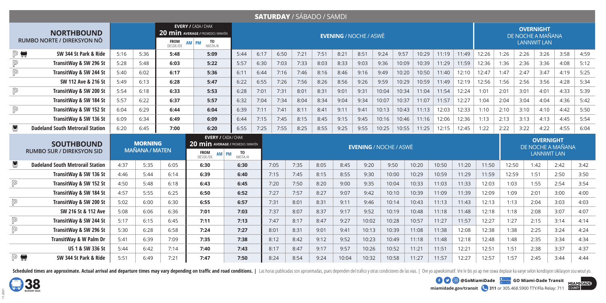|                                                                                                  |                                         |      |      |                         |                                                                                                                  |               |      | <b>SATURDAY / SÁBADO / SAMDI</b> |      |      |                               |                               |       |       |       |       |       |       |       |                   |                                        |                   |      |
|--------------------------------------------------------------------------------------------------|-----------------------------------------|------|------|-------------------------|------------------------------------------------------------------------------------------------------------------|---------------|------|----------------------------------|------|------|-------------------------------|-------------------------------|-------|-------|-------|-------|-------|-------|-------|-------------------|----------------------------------------|-------------------|------|
| <b>NORTHBOUND</b><br>RUMBO NORTE / DIREKSYON NÒ                                                  |                                         |      |      | <b>FROM</b><br>DESDE/DE | <b>EVERY / CADA / CHAK</b><br>20 min AVERAGE / PROMEDIO / MWAYÈN<br>TO<br>Hasta/A<br><b>PM</b><br><b>AM</b>      |               |      |                                  |      |      | <b>EVENING / NOCHE / ASWÈ</b> |                               |       |       |       |       |       |       |       | DE NOCHE A MAÑANA | <b>OVERNIGHT</b><br><b>LANNWIT LAN</b> |                   |      |
|                                                                                                  |                                         |      |      |                         |                                                                                                                  |               |      |                                  |      |      |                               |                               |       |       |       |       |       |       |       |                   |                                        |                   |      |
| $P \blacksquare$                                                                                 | SW 344 St Park & Ride                   | 5:16 | 5:36 | 5:48<br>6:03            | 5:09                                                                                                             | 5:44          | 6:17 | 6:50                             | 7:21 | 7:51 | 8:21                          | 8:51                          | 9:24  | 9:57  | 10:29 | 11:19 | 11:49 | 12:26 | 1:26  | 2:26              | 3:26                                   | 3:58              | 4:59 |
| $\mathbb P$                                                                                      | TransitWay & SW 296 St                  | 5:28 | 5:48 |                         | 5:22                                                                                                             | 5:57          | 6:30 | 7:03                             | 7:33 | 8:03 | 8:33                          | 9:03                          | 9:36  | 10:09 | 10:39 | 11:29 | 11:59 | 12:36 | 1:36  | 2:36              | 3:36                                   | 4:08              | 5:12 |
| $\boxed{\mathbb{P}}$                                                                             | TransitWay & SW 244 St                  | 5:40 | 6:02 | 6:17                    | 5:36                                                                                                             | 6:11          | 6:44 | 7:16                             | 7:46 | 8:16 | 8:46                          | 9:16                          | 9:49  | 10:20 | 10:50 | 11:40 | 12:10 | 12:47 | 1:47  | 2:47              | 3:47                                   | 4:19              | 5:25 |
|                                                                                                  | SW 112 Ave & 216 St                     | 5:49 | 6:13 | 6:28                    | 5:47                                                                                                             | 6:22          | 6:55 | 7:26                             | 7:56 | 8:26 | 8:56                          | 9:26                          | 9:59  | 10:29 | 10:59 | 11:49 | 12:19 | 12:56 | 1:56  | 2:56              | 3:56                                   | 4:28              | 5:34 |
| $\boxed{\mathbb{P}}$                                                                             | TransitWay & SW 200 St                  | 5:54 | 6:18 | 6:33                    | 5:53                                                                                                             | 6:28          | 7:01 | 7:31                             | 8:01 | 8:31 | 9:01                          | 9:31                          | 10:04 | 10:34 | 11:04 | 11:54 | 12:24 | 1:01  | 2:01  | 3:01              | 4:01                                   | 4:33              | 5:39 |
|                                                                                                  | TransitWay & SW 184 St                  | 5:57 | 6:22 | 6:37                    | 5:57                                                                                                             | 6:32          | 7:04 | 7:34                             | 8:04 | 8:34 | 9:04                          | 9:34                          | 10:07 | 10:37 | 11:07 | 11:57 | 12:27 | 1:04  | 2:04  | 3:04              | 4:04                                   | 4:36              | 5:42 |
| $\mathbb{P}$                                                                                     | TransitWay & SW 152 St                  | 6:04 | 6:29 | 6:44                    | 6:04                                                                                                             | 6:39          | 7:11 | 7:41                             | 8:11 | 8:41 | 9:11                          | 9:41                          | 10:13 | 10:43 | 11:13 | 12:03 | 12:33 | 1:10  | 2:10  | 3:10              | 4:10                                   | 4:42              | 5:50 |
|                                                                                                  | TransitWay & SW 136 St                  | 6:09 | 6:34 | 6:49                    | 6:09                                                                                                             | 6:44          | 7:15 | 7:45                             | 8:15 | 8:45 | 9:15                          | 9:45                          | 10:16 | 10:46 | 11:16 | 12:06 | 12:36 | 1:13  | 2:13  | 3:13              | 4:13                                   | 4:45              | 5:54 |
| $\blacksquare$                                                                                   | <b>Dadeland South Metrorail Station</b> | 6:20 | 6:45 | 7:00                    | 6:20                                                                                                             | 6:55          | 7:25 | 7:55                             | 8:25 | 8:55 | 9:25                          | 9:55                          | 10:25 | 10:55 | 11:25 | 12:15 | 12:45 | 1:22  | 2:22  | 3:22              | 4:22                                   | 4:55              | 6:04 |
| <b>MORNING</b><br><b>SOUTHBOUND</b><br><b>MAÑANA / MATEN</b><br><b>RUMBO SUR / DIREKSYON SID</b> |                                         |      |      |                         |                                                                                                                  |               |      |                                  |      |      |                               |                               |       |       |       |       |       |       |       |                   |                                        |                   |      |
|                                                                                                  |                                         |      |      |                         | <b>EVERY / CADA / CHAK</b><br>20 min AVERAGE / PROMEDIO / MWAYÈN<br><b>FROM</b><br><b>PM</b><br>AM I<br>DESDE/DE | TO<br>HASTA/A |      |                                  |      |      |                               | <b>EVENING / NOCHE / ASWÈ</b> |       |       |       |       |       |       |       |                   | <b>OVERNIGHT</b><br><b>LANNWIT LAN</b> | DE NOCHE A MAÑANA |      |
| ■                                                                                                | <b>Dadeland South Metrorail Station</b> | 4:37 | 5:35 | 6:05                    | 6:30                                                                                                             | 6:30          |      | 7:05                             | 7:35 | 8:05 | 8:45                          | 9:20                          | 9:50  |       | 10:20 | 10:50 | 11:20 | 11:50 | 12:50 |                   | 1:42                                   | 2:42              | 3:42 |
|                                                                                                  | TransitWay & SW 136 St                  | 4:46 | 5:44 | 6:14                    | 6:39                                                                                                             | 6:40          |      | 7:15                             | 7:45 | 8:15 | 8:55                          | 9:30                          | 10:00 |       | 10:29 | 10:59 | 11:29 | 11:59 | 12:59 |                   | 1:51                                   | 2:50              | 3:50 |
| $\mathbb P$                                                                                      | TransitWay & SW 152 St                  | 4:50 | 5:48 | 6:18                    | 6:43                                                                                                             | 6:45          |      | 7:20                             | 7:50 | 8:20 | 9:00                          | 9:35                          | 10:04 |       | 10:33 | 11:03 | 11:33 | 12:03 | 1:03  |                   | 1:55                                   | 2:54              | 3:54 |
|                                                                                                  | TransitWay & SW 184 St                  | 4:57 | 5:55 | 6:25                    | 6:50                                                                                                             | 6:52          |      | 7:27                             | 7:57 | 8:27 | 9:07                          | 9:42                          | 10:10 |       | 10:39 | 11:09 | 11:39 | 12:09 | 1:09  |                   | 2:01                                   | 3:00              | 4:00 |
|                                                                                                  | TransitWay & SW 200 St                  | 5:02 | 6:00 | 6:30                    | 6:55                                                                                                             | 6:57          |      | 7:31                             | 8:01 | 8:31 | 9:11                          | 9:46                          | 10:14 |       | 10:43 | 11:13 | 11:43 | 12:13 | 1:13  |                   | 2:04                                   | 3:03              | 4:03 |
| $\mathbb P$                                                                                      | SW 216 St & 112 Ave                     | 5:08 | 6:06 | 6:36                    | 7:01                                                                                                             | 7:03          |      | 7:37                             | 8:07 | 8:37 | 9:17                          | 9:52                          | 10:19 |       | 10:48 | 11:18 | 11:48 | 12:18 | 1:18  |                   | 2:08                                   | 3:07              | 4:07 |
|                                                                                                  | TransitWay & SW 244 St                  | 5:17 | 6:15 | 6:45                    | 7:11                                                                                                             | 7:13          |      | 7:47                             | 8:17 | 8:47 | 9:27                          | 10:02                         | 10:28 |       | 10:57 | 11:27 | 11:57 | 12:27 | 1:27  |                   | 2:15                                   | 3:14              | 4:14 |
| $\mathbb P$                                                                                      | TransitWay & SW 296 St                  | 5:30 | 6:28 | 6:58                    | 7:24                                                                                                             | 7:27          |      | 8:01                             | 8:31 | 9:01 | 9:41                          | 10:13                         | 10:39 |       | 11:08 | 11:38 | 12:08 | 12:38 | 1:38  |                   | 2:25                                   | 3:24              | 4:24 |
| $\overline{\mathbb{P}}$                                                                          | <b>TransitWay &amp; W Palm Dr</b>       | 5:41 | 6:39 | 7:09                    | 7:35                                                                                                             | 7:38          |      | 8:12                             | 8:42 | 9:12 | 9:52                          | 10:23                         | 10:49 |       | 11:18 | 11:48 | 12:18 | 12:48 | 1:48  |                   | 2:35                                   | 3:34              | 4:34 |
|                                                                                                  | <b>US 1 &amp; SW 336 St</b>             | 5:44 | 6:42 | 7:14                    | 7:40                                                                                                             | 7:43          |      | 8:17                             | 8:47 | 9:17 | 9:57                          | 10:26                         | 10:52 |       | 11:21 | 11:51 | 12:21 | 12:51 | 1:51  |                   | 2:38                                   | 3:37              | 4:37 |

Scheduled times are approximate. Actual arrival and departure times may vary depending on traffic and road conditions. | Las horas publicadas son aproximadas, pues dependen del trafico y otras condiciones de las vias. | Or